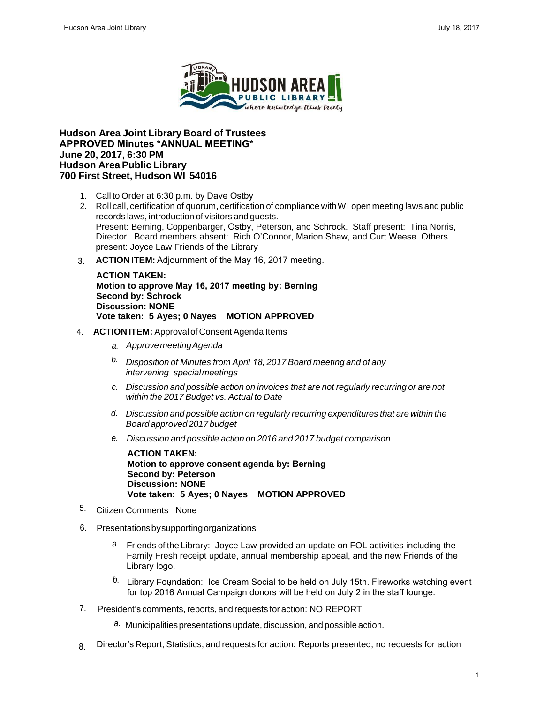

## **Hudson Area Joint Library Board of Trustees APPROVED Minutes \*ANNUAL MEETING\* June 20, 2017, 6:30 PM Hudson Area Public Library 700 First Street, Hudson WI 54016**

- 1. Call to Order at 6:30 p.m. by Dave Ostby
- 2. Roll call, certification of quorum, certification of compliance with WI open meeting laws and public records laws, introduction of visitors and guests. Present: Berning, Coppenbarger, Ostby, Peterson, and Schrock. Staff present: Tina Norris, Director. Board members absent: Rich O'Connor, Marion Shaw, and Curt Weese. Others present: Joyce Law Friends of the Library Marches Area Johnnes Market Consert and the state of the state of the state of the state of the state of the state of the state of the state of the state of the state of the state of the state of the state of the state of
	- 3. **ACTION ITEM:** Adjournment of the May 16, 2017 meeting.

**ACTION TAKEN: Motion to approve May 16, 2017 meeting by: Berning Second by: Schrock Discussion: NONE Vote taken: 5 Ayes; 0 Nayes MOTION APPROVED**

- 4. **ACTION ITEM:** Approval of Consent Agenda Items
	- *a. Approve meeting Agenda*
	- *b. Disposition of Minutes from April 18, 2017 Board meeting and of any intervening special meetings*
	- *c. Discussion and possible action on invoices that are not regularly recurring or are not within the 2017 Budget vs. Actual to Date*
	- *d. Discussion and possible action on regularly recurring expenditures that are within the Board approved 2017 budget*
	- *e. Discussion and possible action on 2016 and 2017 budget comparison*

**ACTION TAKEN: Motion to approve consent agenda by: Berning Second by: Peterson Discussion: NONE Vote taken: 5 Ayes; 0 Nayes MOTION APPROVED**

- <sup>5.</sup> Citizen Comments None
- Presentations by supporting organizations 6.
	- *a.* Friends of the Library: Joyce Law provided an update on FOL activities including the Family Fresh receipt update, annual membership appeal, and the new Friends of the Library logo.
	- $^{b.}$  Library Foundation: Ice Cream Social to be held on July 15th. Fireworks watching event for top 2016 Annual Campaign donors will be held on July 2 in the staff lounge.
- 7. President's comments, reports, and requests for action: NO REPORT
	- *a.* Municipalities presentations update, discussion, and possible action.
- Director's Report, Statistics, and requests for action: Reports presented, no requests for action 8.